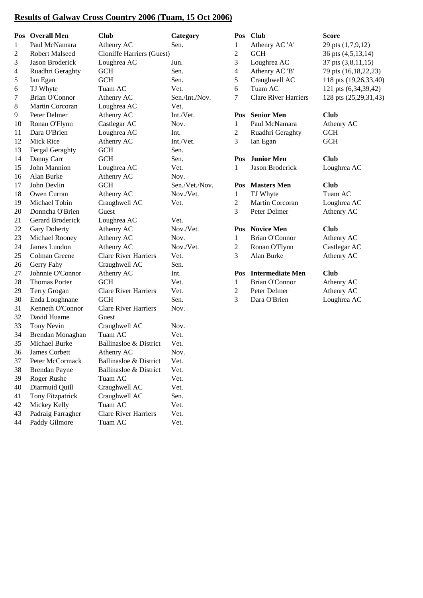## **Results of Galway Cross Country 2006 (Tuam, 15 Oct 2006)**

|                | Pos Overall Men       | <b>Club</b>                      | Category       |                | Pos Club                    | <b>Score</b>          |
|----------------|-----------------------|----------------------------------|----------------|----------------|-----------------------------|-----------------------|
| 1              | Paul McNamara         | Athenry AC                       | Sen.           | 1              | Athenry AC 'A'              | 29 pts (1,7,9,12)     |
| $\overline{c}$ | <b>Robert Malseed</b> | <b>Cloniffe Harriers (Guest)</b> |                | $\overline{c}$ | <b>GCH</b>                  | 36 pts (4,5,13,14)    |
| 3              | Jason Broderick       | Loughrea AC                      | Jun.           | 3              | Loughrea AC                 | 37 pts (3,8,11,15)    |
| 4              | Ruadhri Geraghty      | <b>GCH</b>                       | Sen.           | 4              | Athenry AC 'B'              | 79 pts (16,18,22,23)  |
| 5              | Ian Egan              | <b>GCH</b>                       | Sen.           | 5              | Craughwell AC               | 118 pts (19,26,33,40) |
| 6              | TJ Whyte              | Tuam AC                          | Vet.           | 6              | Tuam AC                     | 121 pts (6,34,39,42)  |
| 7              | Brian O'Connor        | Athenry AC                       | Sen./Int./Nov. | 7              | <b>Clare River Harriers</b> | 128 pts (25,29,31,43) |
| $8\,$          | Martin Corcoran       | Loughrea AC                      | Vet.           |                |                             |                       |
| 9              | Peter Delmer          | Athenry AC                       | Int./Vet.      | Pos            | <b>Senior Men</b>           | Club                  |
| 10             | Ronan O'Flynn         | Castlegar AC                     | Nov.           | 1              | Paul McNamara               | Athenry AC            |
| 11             | Dara O'Brien          | Loughrea AC                      | Int.           | $\overline{c}$ | Ruadhri Geraghty            | <b>GCH</b>            |
| 12             | Mick Rice             | Athenry AC                       | Int./Vet.      | 3              | Ian Egan                    | <b>GCH</b>            |
| 13             | Fergal Geraghty       | <b>GCH</b>                       | Sen.           |                |                             |                       |
| 14             | Danny Carr            | GCH                              | Sen.           | Pos            | <b>Junior Men</b>           | <b>Club</b>           |
| 15             | John Mannion          | Loughrea AC                      | Vet.           | 1              | Jason Broderick             | Loughrea AC           |
| 16             | Alan Burke            | Athenry AC                       | Nov.           |                |                             |                       |
| 17             | John Devlin           | <b>GCH</b>                       | Sen./Vet./Nov. | Pos            | <b>Masters Men</b>          | Club                  |
| 18             | Owen Curran           | Athenry AC                       | Nov./Vet.      | $\mathbf{1}$   | TJ Whyte                    | Tuam AC               |
| 19             | Michael Tobin         | Craughwell AC                    | Vet.           | $\overline{c}$ | Martin Corcoran             | Loughrea AC           |
| 20             | Donncha O'Brien       | Guest                            |                | 3              | Peter Delmer                | Athenry AC            |
| 21             | Gerard Broderick      | Loughrea AC                      | Vet.           |                |                             |                       |
| 22             | Gary Doherty          | Athenry AC                       | Nov./Vet.      | Pos            | <b>Novice Men</b>           | Club                  |
| 23             | Michael Rooney        | Athenry AC                       | Nov.           | 1              | <b>Brian O'Connor</b>       | Athenry AC            |
| 24             | James Lundon          | Athenry AC                       | Nov./Vet.      | $\overline{c}$ | Ronan O'Flynn               | Castlegar AC          |
| 25             | Colman Greene         | <b>Clare River Harriers</b>      | Vet.           | 3              | Alan Burke                  | Athenry AC            |
| 26             | Gerry Fahy            | Craughwell AC                    | Sen.           |                |                             |                       |
| 27             | Johnnie O'Connor      | Athenry AC                       | Int.           |                | Pos Intermediate Men        | <b>Club</b>           |
| 28             | <b>Thomas Porter</b>  | <b>GCH</b>                       | Vet.           | $\mathbf{1}$   | <b>Brian O'Connor</b>       | Athenry AC            |
| 29             | Terry Grogan          | <b>Clare River Harriers</b>      | Vet.           | 2              | Peter Delmer                | Athenry AC            |
| 30             | Enda Loughnane        | <b>GCH</b>                       | Sen.           | 3              | Dara O'Brien                | Loughrea AC           |
| 31             | Kenneth O'Connor      | <b>Clare River Harriers</b>      | Nov.           |                |                             |                       |
| 32             | David Huame           | Guest                            |                |                |                             |                       |
| 33             | Tony Nevin            | Craughwell AC                    | Nov.           |                |                             |                       |
| 34             | Brendan Monaghan      | Tuam AC                          | Vet.           |                |                             |                       |
| 35             | Michael Burke         | Ballinasloe & District           | Vet.           |                |                             |                       |
| 36             | James Corbett         | Athenry AC                       | Nov.           |                |                             |                       |
| 37             | Peter McCormack       | Ballinasloe & District           | Vet.           |                |                             |                       |
| 38             | <b>Brendan Payne</b>  | Ballinasloe & District           | Vet.           |                |                             |                       |
| 39             | Roger Rushe           | Tuam AC                          | Vet.           |                |                             |                       |
| 40             | Diarmuid Quill        | Craughwell AC                    | Vet.           |                |                             |                       |
| 41             | Tony Fitzpatrick      | Craughwell AC                    | Sen.           |                |                             |                       |
| 42             | Mickey Kelly          | Tuam AC                          | Vet.           |                |                             |                       |
| 43             | Padraig Farragher     | <b>Clare River Harriers</b>      | Vet.           |                |                             |                       |
| 44             | Paddy Gilmore         | Tuam AC                          | Vet.           |                |                             |                       |

| 'os | <b>Club</b><br>Athenry AC 'A'<br><b>GCH</b><br>Loughrea AC<br>Athenry AC 'B'<br>Craughwell AC<br>Tuam AC<br><b>Clare River Harriers</b> | Score<br>29 pts (1,7,9,12)<br>36 pts (4,5,13,14)<br>37 pts (3,8,11,15)<br>79 pts (16,18,22,23<br>118 pts (19,26,33,4)<br>121 pts (6,34,39,42<br>128 pts (25,29,31,4) |
|-----|-----------------------------------------------------------------------------------------------------------------------------------------|----------------------------------------------------------------------------------------------------------------------------------------------------------------------|
| 'OS | <b>Senior Men</b><br>Paul McNamara<br>Ruadhri Geraghty<br>Ian Egan                                                                      | <b>Club</b><br>Athenry AC<br><b>GCH</b><br><b>GCH</b>                                                                                                                |
| 'OS | <b>Junior Men</b><br><b>Jason Broderick</b>                                                                                             | Club<br>Loughrea AC                                                                                                                                                  |
| 'OS | <b>Masters Men</b><br>TJ Whyte<br><b>Martin Corcoran</b><br>Peter Delmer                                                                | <b>Club</b><br>Tuam AC<br>Loughrea AC<br>Athenry AC                                                                                                                  |
| 'os | <b>Novice Men</b><br><b>Brian O'Connor</b><br>Ronan O'Flynn<br>Alan Burke                                                               | <b>Club</b><br>Athenry AC<br>Castlegar AC<br>Athenry AC                                                                                                              |
| 0S  | <b>Intermediate Men</b><br>Brian O'Connor<br>Peter Delmer<br>Dara O'Brien                                                               | <b>Club</b><br>Athenry AC<br>Athenry AC<br>Loughrea AC                                                                                                               |